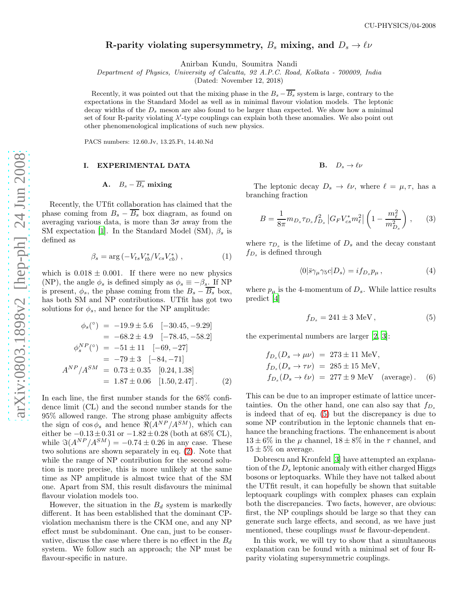# R-parity violating supersymmetry,  $B_s$  mixing, and  $D_s \rightarrow \ell \nu$

Anirban Kundu, Soumitra Nandi

Department of Physics, University of Calcutta, 92 A.P.C. Road, Kolkata - 700009, India

(Dated: November 12, 2018)

Recently, it was pointed out that the mixing phase in the  $B_s - \overline{B_s}$  system is large, contrary to the expectations in the Standard Model as well as in minimal flavour violation models. The leptonic decay widths of the  $D_s$  meson are also found to be larger than expected. We show how a minimal set of four R-parity violating  $\lambda'$ -type couplings can explain both these anomalies. We also point out other phenomenological implications of such new physics.

PACS numbers: 12.60.Jv, 13.25.Ft, 14.40.Nd

### I. EXPERIMENTAL DATA

## A.  $B_s - \overline{B_s}$  mixing

Recently, the UTfit collaboration has claimed that the phase coming from  $B_s - B_s$  box diagram, as found on averaging various data, is more than  $3\sigma$  away from the SM expectation [\[1](#page-3-0)]. In the Standard Model (SM),  $\beta_s$  is defined as

$$
\beta_s = \arg\left(-V_{ts}V_{tb}^*/V_{cs}V_{cb}^*\right),\tag{1}
$$

which is  $0.018 \pm 0.001$ . If there were no new physics (NP), the angle  $\phi_s$  is defined simply as  $\phi_s \equiv -\beta_s$ . If NP is present,  $\phi_s$ , the phase coming from the  $B_s - B_s$  box, has both SM and NP contributions. UTfit has got two solutions for  $\phi_s$ , and hence for the NP amplitude:

<span id="page-0-0"></span>
$$
\phi_s(^{\circ}) = -19.9 \pm 5.6 \quad [-30.45, -9.29]
$$
  
= -68.2 \pm 4.9 \quad [-78.45, -58.2]  

$$
\phi_s^{NP}(^{\circ}) = -51 \pm 11 \quad [-69, -27]
$$
  
= -79 \pm 3 \quad [-84, -71]  

$$
A^{NP}/A^{SM} = 0.73 \pm 0.35 \quad [0.24, 1.38]
$$
  
= 1.87 \pm 0.06 \quad [1.50, 2.47]. (2)

In each line, the first number stands for the 68% confidence limit (CL) and the second number stands for the 95% allowed range. The strong phase ambiguity affects the sign of  $\cos \phi_s$  and hence  $\Re(A^{NP}/A^{SM})$ , which can either be  $-0.13 \pm 0.31$  or  $-1.82 \pm 0.28$  (both at 68% CL), while  $\Im(A^{NP}/A^{SM}) = -0.74 \pm 0.26$  in any case. These two solutions are shown separately in eq. [\(2\)](#page-0-0). Note that while the range of NP contribution for the second solution is more precise, this is more unlikely at the same time as NP amplitude is almost twice that of the SM one. Apart from SM, this result disfavours the minimal flavour violation models too.

However, the situation in the  $B_d$  system is markedly different. It has been established that the dominant CPviolation mechanism there is the CKM one, and any NP effect must be subdominant. One can, just to be conservative, discuss the case where there is no effect in the  $B_d$ system. We follow such an approach; the NP must be flavour-specific in nature.

$$
\mathbf{B.}\quad D_s\to\ell\nu
$$

The leptonic decay  $D_s \to \ell \nu$ , where  $\ell = \mu, \tau$ , has a branching fraction

$$
B = \frac{1}{8\pi} m_{D_s} \tau_{D_s} f_{D_s}^2 \left| G_F V_{cs}^* m_\ell^2 \right| \left( 1 - \frac{m_\ell^2}{m_{D_s}^2} \right), \qquad (3)
$$

where  $\tau_{D_s}$  is the lifetime of  $D_s$  and the decay constant  $f_{D_s}$  is defined through

$$
\langle 0|\bar{s}\gamma_{\mu}\gamma_{5}c|D_{s}\rangle = if_{D_{s}}p_{\mu},\qquad(4)
$$

where  $p_{\mu}$  is the 4-momentum of  $D_s$ . While lattice results predict [\[4\]](#page-3-1)

<span id="page-0-1"></span>
$$
f_{D_s} = 241 \pm 3 \text{ MeV},\tag{5}
$$

the experimental numbers are larger [\[2,](#page-3-2) [3\]](#page-3-3):

$$
f_{D_s}(D_s \to \mu \nu) = 273 \pm 11 \text{ MeV},
$$
  
\n
$$
f_{D_s}(D_s \to \tau \nu) = 285 \pm 15 \text{ MeV},
$$
  
\n
$$
f_{D_s}(D_s \to \ell \nu) = 277 \pm 9 \text{ MeV} \text{ (average)}.
$$
 (6)

This can be due to an improper estimate of lattice uncertainties. On the other hand, one can also say that  $f_{D_s}$ is indeed that of eq. [\(5\)](#page-0-1) but the discrepancy is due to some NP contribution in the leptonic channels that enhance the branching fractions. The enhancement is about  $13 \pm 6\%$  in the  $\mu$  channel,  $18 \pm 8\%$  in the  $\tau$  channel, and  $15 \pm 5\%$  on average.

Dobrescu and Kronfeld [\[3\]](#page-3-3) have attempted an explanation of the  $D_s$  leptonic anomaly with either charged Higgs bosons or leptoquarks. While they have not talked about the UTfit result, it can hopefully be shown that suitable leptoquark couplings with complex phases can explain both the discrepancies. Two facts, however, are obvious: first, the NP couplings should be large so that they can generate such large effects, and second, as we have just mentioned, these couplings must be flavour-dependent.

In this work, we will try to show that a simultaneous explanation can be found with a minimal set of four Rparity violating supersymmetric couplings.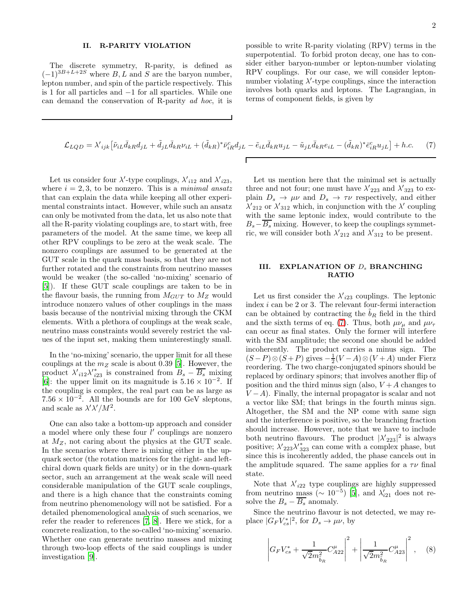#### II. R-PARITY VIOLATION

The discrete symmetry, R-parity, is defined as  $(-1)^{3B+L+2S}$  where B, L and S are the baryon number, lepton number, and spin of the particle respectively. This is 1 for all particles and −1 for all sparticles. While one can demand the conservation of R-parity ad hoc, it is possible to write R-parity violating (RPV) terms in the superpotential. To forbid proton decay, one has to consider either baryon-number or lepton-number violating RPV couplings. For our case, we will consider leptonnumber violating  $\lambda'$ -type couplings, since the interaction involves both quarks and leptons. The Lagrangian, in terms of component fields, is given by

<span id="page-1-0"></span>
$$
\mathcal{L}_{LQD} = \lambda'_{ijk} \left[ \tilde{\nu}_{iL} \bar{d}_{kR} d_{jL} + \tilde{d}_{jL} \bar{d}_{kR} \nu_{iL} + (\tilde{d}_{kR})^* \bar{\nu}_{iR}^c d_{jL} - \tilde{e}_{iL} \bar{d}_{kR} u_{jL} - \tilde{u}_{jL} \bar{d}_{kR} e_{iL} - (\tilde{d}_{kR})^* \bar{e}_{iR}^c u_{jL} \right] + h.c. \tag{7}
$$

Let us consider four  $\lambda'$ -type couplings,  $\lambda'_{i12}$  and  $\lambda'_{i23}$ , where  $i = 2, 3$ , to be nonzero. This is a *minimal ansatz* that can explain the data while keeping all other experimental constraints intact. However, while such an ansatz can only be motivated from the data, let us also note that all the R-parity violating couplings are, to start with, free parameters of the model. At the same time, we keep all other RPV couplings to be zero at the weak scale. The nonzero couplings are assumed to be generated at the GUT scale in the quark mass basis, so that they are not further rotated and the constraints from neutrino masses would be weaker (the so-called 'no-mixing' scenario of [\[5\]](#page-3-4)). If these GUT scale couplings are taken to be in the flavour basis, the running from  $M_{GUT}$  to  $M_Z$  would introduce nonzero values of other couplings in the mass basis because of the nontrivial mixing through the CKM elements. With a plethora of couplings at the weak scale, neutrino mass constraints would severely restrict the values of the input set, making them uninterestingly small.

In the 'no-mixing' scenario, the upper limit for all these couplings at the  $m_Z$  scale is about 0.39 [\[5\]](#page-3-4). However, the product  $\lambda'_{i12}\lambda'^{*}_{i23}$  is constrained from  $B_s - \overline{B_s}$  mixing [\[6\]](#page-3-5): the upper limit on its magnitude is  $5.16 \times 10^{-2}$ . If the coupling is complex, the real part can be as large as  $7.56 \times 10^{-2}$ . All the bounds are for 100 GeV sleptons, and scale as  $\lambda' \lambda'/M^2$ .

One can also take a bottom-up approach and consider a model where only these four  $l'$  couplings are nonzero at  $M_Z$ , not caring about the physics at the GUT scale. In the scenarios where there is mixing either in the upquark sector (the rotation matrices for the right- and leftchiral down quark fields are unity) or in the down-quark sector, such an arrangement at the weak scale will need considerable manipulation of the GUT scale couplings, and there is a high chance that the constraints coming from neutrino phenomenology will not be satisfied. For a detailed phenomenological analysis of such scenarios, we refer the reader to references [\[7,](#page-3-6) [8\]](#page-3-7). Here we stick, for a concrete realization, to the so-called 'no-mixing' scenario. Whether one can generate neutrino masses and mixing through two-loop effects of the said couplings is under investigation [\[9](#page-3-8)].

Let us mention here that the minimal set is actually three and not four; one must have  $\lambda'_{223}$  and  $\lambda'_{323}$  to explain  $D_s \to \mu \nu$  and  $D_s \to \tau \nu$  respectively, and either  $\lambda'_{212}$  or  $\lambda'_{312}$  which, in conjunction with the  $\lambda'$  coupling with the same leptonic index, would contribute to the  $B_s-\overline{B_s}$  mixing. However, to keep the couplings symmetric, we will consider both  $\lambda'_{212}$  and  $\lambda'_{312}$  to be present.

#### III. EXPLANATION OF  $D_s$  BRANCHING RATIO

Let us first consider the  $\lambda'_{i23}$  couplings. The leptonic index  $i$  can be 2 or 3. The relevant four-fermi interaction can be obtained by contracting the  $b_R$  field in the third and the sixth terms of eq. [\(7\)](#page-1-0). Thus, both  $\mu\nu_{\mu}$  and  $\mu\nu_{\tau}$ can occur as final states. Only the former will interfere with the SM amplitude; the second one should be added incoherently. The product carries a minus sign. The  $(S-P) \otimes (S+P)$  gives  $-\frac{1}{2}(V-A) \otimes (V+A)$  under Fierz reordering. The two charge-conjugated spinors should be replaced by ordinary spinors; that involves another flip of position and the third minus sign (also,  $V+A$  changes to  $V - A$ ). Finally, the internal propagator is scalar and not a vector like SM; that brings in the fourth minus sign. Altogether, the SM and the NP come with same sign and the interference is positive, so the branching fraction should increase. However, note that we have to include both neutrino flavours. The product  $|\lambda'_{223}|^2$  is always positive;  $\lambda'_{223}\lambda'^{*}_{323}$  can come with a complex phase, but since this is incoherently added, the phase cancels out in the amplitude squared. The same applies for a  $\tau\nu$  final state.

Note that  $\lambda'_{i22}$  type couplings are highly suppressed from neutrino mass ( $\sim 10^{-5}$ ) [\[5](#page-3-4)], and  $\lambda'_{i21}$  does not resolve the  $B_s - \overline{B_s}$  anomaly.

Since the neutrino flavour is not detected, we may replace  $|G_F V_{cs}^*|^2$ , for  $D_s \to \mu \nu$ , by

$$
\left| G_F V_{cs}^* + \frac{1}{\sqrt{2} m_{\tilde{b}_R}^2} C_{A22}^{\mu} \right|^2 + \left| \frac{1}{\sqrt{2} m_{\tilde{b}_R}^2} C_{A23}^{\mu} \right|^2 , \quad (8)
$$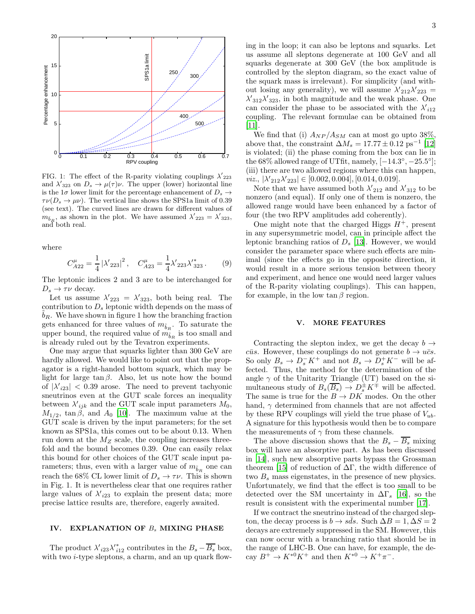

FIG. 1: The effect of the R-parity violating couplings  $\lambda'_{223}$ and  $\lambda'_{323}$  on  $D_s \to \mu(\tau)\nu$ . The upper (lower) horizontal line is the  $1\sigma$  lower limit for the percentage enhancement of  $D_s \rightarrow$  $\tau\nu(D_s \to \mu\nu)$ . The vertical line shows the SPS1a limit of 0.39 (see text). The curved lines are drawn for different values of  $m_{\tilde{b}_R}$ , as shown in the plot. We have assumed  $\lambda'_{223} = \lambda'_{323}$ , and both real.

where

$$
C_{A22}^{\mu} = \frac{1}{4} |\lambda'_{223}|^2, \quad C_{A23}^{\mu} = \frac{1}{4} \lambda'_{223} \lambda'^*_{323} . \tag{9}
$$

The leptonic indices 2 and 3 are to be interchanged for  $D_s \rightarrow \tau \nu$  decay.

Let us assume  $\lambda'_{223} = \lambda'_{323}$ , both being real. The contribution to  $D_s$  leptonic width depends on the mass of  $b_R$ . We have shown in figure 1 how the branching fraction gets enhanced for three values of  $m_{\tilde{b}_R}$ . To saturate the upper bound, the required value of  $m_{\tilde{b}_R}$  is too small and is already ruled out by the Tevatron experiments.

One may argue that squarks lighter than 300 GeV are hardly allowed. We would like to point out that the propagator is a right-handed bottom squark, which may be light for large  $\tan \beta$ . Also, let us note how the bound of  $|\lambda'_{i23}| < 0.39$  arose. The need to prevent tachyonic sneutrinos even at the GUT scale forces an inequality between  $\lambda'_{ijk}$  and the GUT scale input parameters  $M_0$ ,  $M_{1/2}$ , tan  $\beta$ , and  $A_0$  [\[10\]](#page-3-9). The maximum value at the GUT scale is driven by the input parameters; for the set known as SPS1a, this comes out to be about 0.13. When run down at the  $M_Z$  scale, the coupling increases threefold and the bound becomes 0.39. One can easily relax this bound for other choices of the GUT scale input parameters; thus, even with a larger value of  $m_{\tilde b_R}$  one can reach the 68% CL lower limit of  $D_s \to \tau \nu$ . This is shown in Fig. 1. It is nevertheless clear that one requires rather large values of  $\lambda'_{i23}$  to explain the present data; more precise lattice results are, therefore, eagerly awaited.

#### IV. EXPLANATION OF  $B_s$  MIXING PHASE

The product  $\lambda'_{i23}\lambda'^*_{i12}$  contributes in the  $B_s - \overline{B_s}$  box, with two *i*-type sleptons, a charm, and an up quark flowing in the loop; it can also be leptons and squarks. Let us assume all sleptons degenerate at 100 GeV and all squarks degenerate at 300 GeV (the box amplitude is controlled by the slepton diagram, so the exact value of the squark mass is irrelevant). For simplicity (and without losing any generality), we will assume  $\lambda'_{212}\lambda'_{223} =$  $\lambda'_{312}\lambda'_{323}$ , in both magnitude and the weak phase. One can consider the phase to be associated with the  $\lambda'_{i12}$ coupling. The relevant formulae can be obtained from [\[11\]](#page-3-10).

We find that (i)  $A_{NP}/A_{SM}$  can at most go upto 38%, above that, the constraint  $\Delta M_s = 17.77 \pm 0.12 \text{ ps}^{-1}$  [\[12](#page-3-11)] is violated; (ii) the phase coming from the box can lie in the  $68\%$  allowed range of UTfit, namely,  $[-14.3^\circ, -25.5^\circ]$ ; (iii) there are two allowed regions where this can happen, viz.,  $|\lambda'_{212}\lambda'_{223}| \in [0.002, 0.004], [0.014, 0.019].$ 

Note that we have assumed both  $\lambda'_{212}$  and  $\lambda'_{312}$  to be nonzero (and equal). If only one of them is nonzero, the allowed range would have been enhanced by a factor of four (the two RPV amplitudes add coherently).

One might note that the charged Higgs  $H^+$ , present in any supersymmetric model, can in principle affect the leptonic branching ratios of  $D_s$  [\[13\]](#page-3-12). However, we would consider the parameter space where such effects are minimal (since the effects go in the opposite direction, it would result in a more serious tension between theory and experiment, and hence one would need larger values of the R-parity violating couplings). This can happen, for example, in the low  $\tan \beta$  region.

#### V. MORE FEATURES

Contracting the slepton index, we get the decay  $b \rightarrow$ cus. However, these couplings do not generate  $b \to u\bar{c}s$ . So only  $B_s \to D_s^- K^+$  and not  $B_s \to D_s^+ K^-$  will be affected. Thus, the method for the determination of the angle  $\gamma$  of the Unitarity Triangle (UT) based on the simultaneous study of  $B_s(\overline{B_s}) \to D_s^{\pm} K^{\mp}$  will be affected. The same is true for the  $B \to DK$  modes. On the other hand,  $\gamma$  determined from channels that are not affected by these RPV couplings will yield the true phase of  $V_{ub}$ . A signature for this hypothesis would then be to compare the measurements of  $\gamma$  from these channels.

The above discussion shows that the  $B_s - \overline{B_s}$  mixing box will have an absorptive part. As has been discussed in [\[14\]](#page-3-13), such new absorptive parts bypass the Grossman theorem [\[15\]](#page-3-14) of reduction of  $\Delta\Gamma$ , the width difference of two  $B_s$  mass eigenstates, in the presence of new physics. Unfortunately, we find that the effect is too small to be detected over the SM uncertainty in  $\Delta\Gamma_s$  [\[16\]](#page-3-15), so the result is consistent with the experimental number [\[17\]](#page-3-16).

If we contract the sneutrino instead of the charged slepton, the decay process is  $b \to s\bar{d}s$ . Such  $\Delta B = 1$ ,  $\Delta S = 2$ decays are extremely suppressed in the SM. However, this can now occur with a branching ratio that should be in the range of LHC-B. One can have, for example, the decay  $B^+ \to K^{*0}K^+$  and then  $K^{*0} \to K^+\pi^-$ .